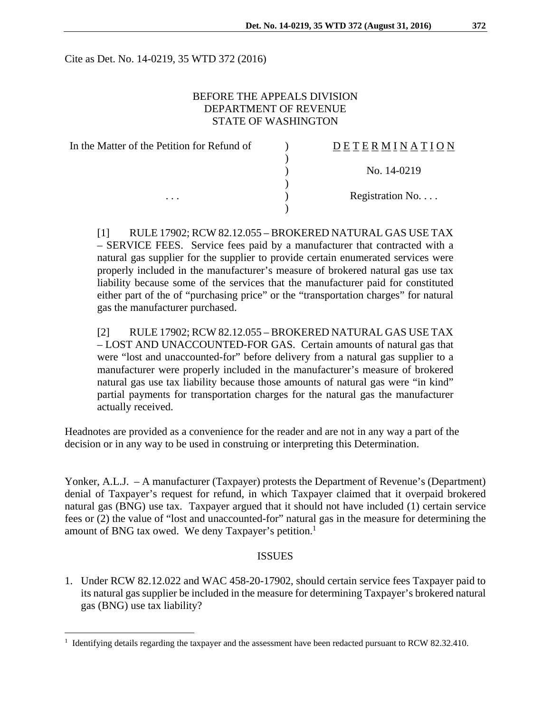Cite as Det. No. 14-0219, 35 WTD 372 (2016)

## BEFORE THE APPEALS DIVISION DEPARTMENT OF REVENUE STATE OF WASHINGTON

| In the Matter of the Petition for Refund of | <b>DETERMINATION</b>     |
|---------------------------------------------|--------------------------|
|                                             |                          |
|                                             | No. 14-0219              |
|                                             |                          |
| .                                           | Registration No. $\dots$ |
|                                             |                          |

[1] RULE 17902; RCW 82.12.055 – BROKERED NATURAL GAS USE TAX – SERVICE FEES. Service fees paid by a manufacturer that contracted with a natural gas supplier for the supplier to provide certain enumerated services were properly included in the manufacturer's measure of brokered natural gas use tax liability because some of the services that the manufacturer paid for constituted either part of the of "purchasing price" or the "transportation charges" for natural gas the manufacturer purchased.

[2] RULE 17902; RCW 82.12.055 – BROKERED NATURAL GAS USE TAX – LOST AND UNACCOUNTED-FOR GAS. Certain amounts of natural gas that were "lost and unaccounted-for" before delivery from a natural gas supplier to a manufacturer were properly included in the manufacturer's measure of brokered natural gas use tax liability because those amounts of natural gas were "in kind" partial payments for transportation charges for the natural gas the manufacturer actually received.

Headnotes are provided as a convenience for the reader and are not in any way a part of the decision or in any way to be used in construing or interpreting this Determination.

Yonker, A.L.J. – A manufacturer (Taxpayer) protests the Department of Revenue's (Department) denial of Taxpayer's request for refund, in which Taxpayer claimed that it overpaid brokered natural gas (BNG) use tax. Taxpayer argued that it should not have included (1) certain service fees or (2) the value of "lost and unaccounted-for" natural gas in the measure for determining the amount of BNG tax owed. We deny Taxpayer's petition.<sup>1</sup>

### ISSUES

1. Under RCW 82.12.022 and WAC 458-20-17902, should certain service fees Taxpayer paid to its natural gas supplier be included in the measure for determining Taxpayer's brokered natural gas (BNG) use tax liability?

 $\overline{a}$ 

<sup>&</sup>lt;sup>1</sup> Identifying details regarding the taxpayer and the assessment have been redacted pursuant to RCW 82.32.410.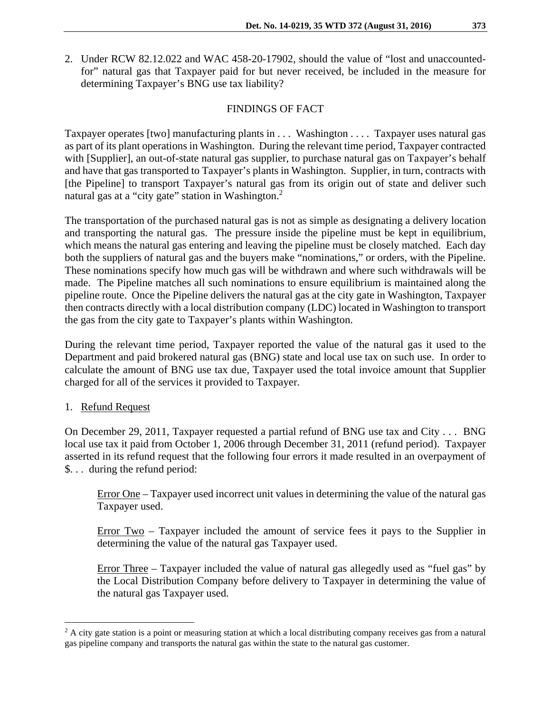2. Under RCW 82.12.022 and WAC 458-20-17902, should the value of "lost and unaccountedfor" natural gas that Taxpayer paid for but never received, be included in the measure for determining Taxpayer's BNG use tax liability?

## FINDINGS OF FACT

Taxpayer operates [two] manufacturing plants in . . . Washington . . . . Taxpayer uses natural gas as part of its plant operations in Washington. During the relevant time period, Taxpayer contracted with [Supplier], an out-of-state natural gas supplier, to purchase natural gas on Taxpayer's behalf and have that gas transported to Taxpayer's plants in Washington. Supplier, in turn, contracts with [the Pipeline] to transport Taxpayer's natural gas from its origin out of state and deliver such natural gas at a "city gate" station in Washington.<sup>2</sup>

The transportation of the purchased natural gas is not as simple as designating a delivery location and transporting the natural gas. The pressure inside the pipeline must be kept in equilibrium, which means the natural gas entering and leaving the pipeline must be closely matched. Each day both the suppliers of natural gas and the buyers make "nominations," or orders, with the Pipeline. These nominations specify how much gas will be withdrawn and where such withdrawals will be made. The Pipeline matches all such nominations to ensure equilibrium is maintained along the pipeline route. Once the Pipeline delivers the natural gas at the city gate in Washington, Taxpayer then contracts directly with a local distribution company (LDC) located in Washington to transport the gas from the city gate to Taxpayer's plants within Washington.

During the relevant time period, Taxpayer reported the value of the natural gas it used to the Department and paid brokered natural gas (BNG) state and local use tax on such use. In order to calculate the amount of BNG use tax due, Taxpayer used the total invoice amount that Supplier charged for all of the services it provided to Taxpayer.

## 1. Refund Request

 $\overline{a}$ 

On December 29, 2011, Taxpayer requested a partial refund of BNG use tax and City . . . BNG local use tax it paid from October 1, 2006 through December 31, 2011 (refund period). Taxpayer asserted in its refund request that the following four errors it made resulted in an overpayment of \$. . . during the refund period:

Error One – Taxpayer used incorrect unit values in determining the value of the natural gas Taxpayer used.

Error Two – Taxpayer included the amount of service fees it pays to the Supplier in determining the value of the natural gas Taxpayer used.

Error Three – Taxpayer included the value of natural gas allegedly used as "fuel gas" by the Local Distribution Company before delivery to Taxpayer in determining the value of the natural gas Taxpayer used.

<sup>&</sup>lt;sup>2</sup> A city gate station is a point or measuring station at which a local distributing company receives gas from a natural gas pipeline company and transports the natural gas within the state to the natural gas customer.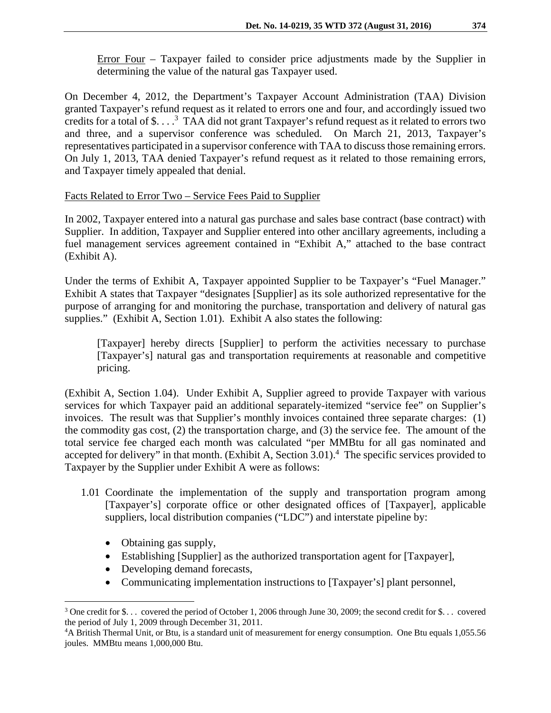Error Four – Taxpayer failed to consider price adjustments made by the Supplier in determining the value of the natural gas Taxpayer used.

On December 4, 2012, the Department's Taxpayer Account Administration (TAA) Division granted Taxpayer's refund request as it related to errors one and four, and accordingly issued two credits for a total of \$....<sup>3</sup> TAA did not grant Taxpayer's refund request as it related to errors two and three, and a supervisor conference was scheduled. On March 21, 2013, Taxpayer's representatives participated in a supervisor conference with TAA to discuss those remaining errors. On July 1, 2013, TAA denied Taxpayer's refund request as it related to those remaining errors, and Taxpayer timely appealed that denial.

### Facts Related to Error Two – Service Fees Paid to Supplier

In 2002, Taxpayer entered into a natural gas purchase and sales base contract (base contract) with Supplier. In addition, Taxpayer and Supplier entered into other ancillary agreements, including a fuel management services agreement contained in "Exhibit A," attached to the base contract (Exhibit A).

Under the terms of Exhibit A, Taxpayer appointed Supplier to be Taxpayer's "Fuel Manager." Exhibit A states that Taxpayer "designates [Supplier] as its sole authorized representative for the purpose of arranging for and monitoring the purchase, transportation and delivery of natural gas supplies." (Exhibit A, Section 1.01). Exhibit A also states the following:

[Taxpayer] hereby directs [Supplier] to perform the activities necessary to purchase [Taxpayer's] natural gas and transportation requirements at reasonable and competitive pricing.

(Exhibit A, Section 1.04). Under Exhibit A, Supplier agreed to provide Taxpayer with various services for which Taxpayer paid an additional separately-itemized "service fee" on Supplier's invoices. The result was that Supplier's monthly invoices contained three separate charges: (1) the commodity gas cost, (2) the transportation charge, and (3) the service fee. The amount of the total service fee charged each month was calculated "per MMBtu for all gas nominated and accepted for delivery" in that month. (Exhibit A, Section 3.01).<sup>4</sup> The specific services provided to Taxpayer by the Supplier under Exhibit A were as follows:

- 1.01 Coordinate the implementation of the supply and transportation program among [Taxpayer's] corporate office or other designated offices of [Taxpayer], applicable suppliers, local distribution companies ("LDC") and interstate pipeline by:
	- Obtaining gas supply,

<u>.</u>

- Establishing [Supplier] as the authorized transportation agent for [Taxpayer],
- Developing demand forecasts,
- Communicating implementation instructions to [Taxpayer's] plant personnel,

<sup>&</sup>lt;sup>3</sup> One credit for \$... covered the period of October 1, 2006 through June 30, 2009; the second credit for \$... covered the period of July 1, 2009 through December 31, 2011. 4

A British Thermal Unit, or Btu, is a standard unit of measurement for energy consumption. One Btu equals 1,055.56 joules. MMBtu means 1,000,000 Btu.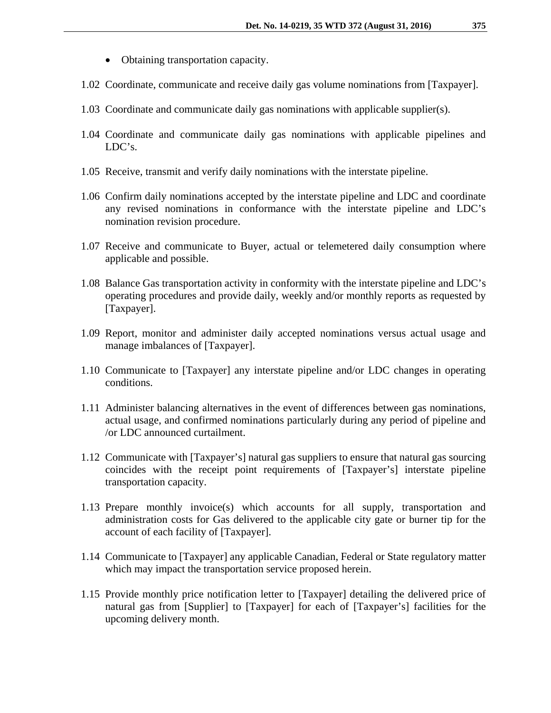- Obtaining transportation capacity.
- 1.02 Coordinate, communicate and receive daily gas volume nominations from [Taxpayer].
- 1.03 Coordinate and communicate daily gas nominations with applicable supplier(s).
- 1.04 Coordinate and communicate daily gas nominations with applicable pipelines and LDC's.
- 1.05 Receive, transmit and verify daily nominations with the interstate pipeline.
- 1.06 Confirm daily nominations accepted by the interstate pipeline and LDC and coordinate any revised nominations in conformance with the interstate pipeline and LDC's nomination revision procedure.
- 1.07 Receive and communicate to Buyer, actual or telemetered daily consumption where applicable and possible.
- 1.08 Balance Gas transportation activity in conformity with the interstate pipeline and LDC's operating procedures and provide daily, weekly and/or monthly reports as requested by [Taxpayer].
- 1.09 Report, monitor and administer daily accepted nominations versus actual usage and manage imbalances of [Taxpayer].
- 1.10 Communicate to [Taxpayer] any interstate pipeline and/or LDC changes in operating conditions.
- 1.11 Administer balancing alternatives in the event of differences between gas nominations, actual usage, and confirmed nominations particularly during any period of pipeline and /or LDC announced curtailment.
- 1.12 Communicate with [Taxpayer's] natural gas suppliers to ensure that natural gas sourcing coincides with the receipt point requirements of [Taxpayer's] interstate pipeline transportation capacity.
- 1.13 Prepare monthly invoice(s) which accounts for all supply, transportation and administration costs for Gas delivered to the applicable city gate or burner tip for the account of each facility of [Taxpayer].
- 1.14 Communicate to [Taxpayer] any applicable Canadian, Federal or State regulatory matter which may impact the transportation service proposed herein.
- 1.15 Provide monthly price notification letter to [Taxpayer] detailing the delivered price of natural gas from [Supplier] to [Taxpayer] for each of [Taxpayer's] facilities for the upcoming delivery month.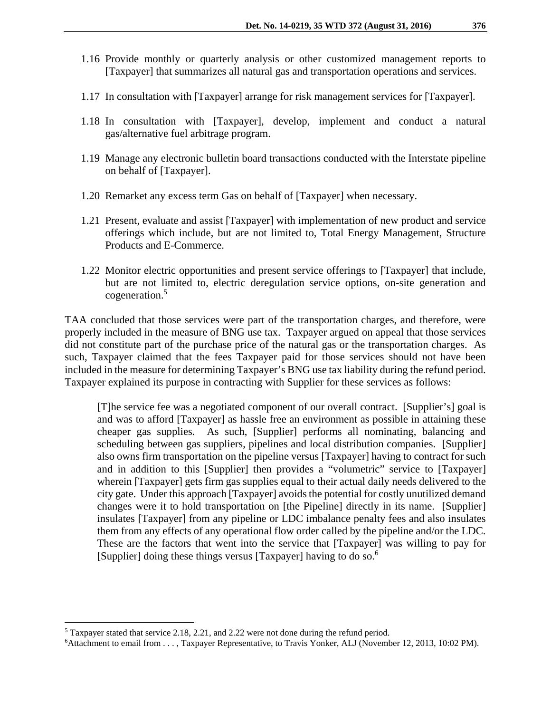- 1.16 Provide monthly or quarterly analysis or other customized management reports to [Taxpayer] that summarizes all natural gas and transportation operations and services.
- 1.17 In consultation with [Taxpayer] arrange for risk management services for [Taxpayer].
- 1.18 In consultation with [Taxpayer], develop, implement and conduct a natural gas/alternative fuel arbitrage program.
- 1.19 Manage any electronic bulletin board transactions conducted with the Interstate pipeline on behalf of [Taxpayer].
- 1.20 Remarket any excess term Gas on behalf of [Taxpayer] when necessary.
- 1.21 Present, evaluate and assist [Taxpayer] with implementation of new product and service offerings which include, but are not limited to, Total Energy Management, Structure Products and E-Commerce.
- 1.22 Monitor electric opportunities and present service offerings to [Taxpayer] that include, but are not limited to, electric deregulation service options, on-site generation and cogeneration.5

TAA concluded that those services were part of the transportation charges, and therefore, were properly included in the measure of BNG use tax. Taxpayer argued on appeal that those services did not constitute part of the purchase price of the natural gas or the transportation charges. As such, Taxpayer claimed that the fees Taxpayer paid for those services should not have been included in the measure for determining Taxpayer's BNG use tax liability during the refund period. Taxpayer explained its purpose in contracting with Supplier for these services as follows:

[T]he service fee was a negotiated component of our overall contract. [Supplier's] goal is and was to afford [Taxpayer] as hassle free an environment as possible in attaining these cheaper gas supplies. As such, [Supplier] performs all nominating, balancing and scheduling between gas suppliers, pipelines and local distribution companies. [Supplier] also owns firm transportation on the pipeline versus [Taxpayer] having to contract for such and in addition to this [Supplier] then provides a "volumetric" service to [Taxpayer] wherein [Taxpayer] gets firm gas supplies equal to their actual daily needs delivered to the city gate. Under this approach [Taxpayer] avoids the potential for costly unutilized demand changes were it to hold transportation on [the Pipeline] directly in its name. [Supplier] insulates [Taxpayer] from any pipeline or LDC imbalance penalty fees and also insulates them from any effects of any operational flow order called by the pipeline and/or the LDC. These are the factors that went into the service that [Taxpayer] was willing to pay for [Supplier] doing these things versus [Taxpayer] having to do so.<sup>6</sup>

 $\overline{a}$ 

<sup>&</sup>lt;sup>5</sup> Taxpayer stated that service 2.18, 2.21, and 2.22 were not done during the refund period.

<sup>6</sup> Attachment to email from . . . , Taxpayer Representative, to Travis Yonker, ALJ (November 12, 2013, 10:02 PM).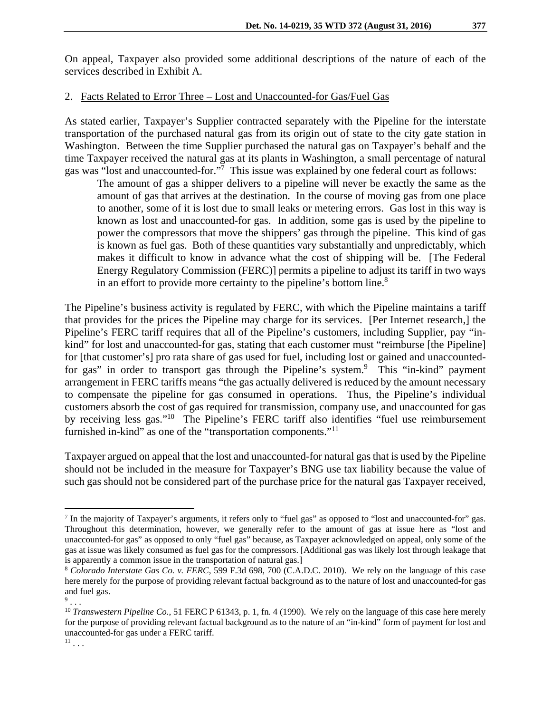On appeal, Taxpayer also provided some additional descriptions of the nature of each of the services described in Exhibit A.

# 2. Facts Related to Error Three – Lost and Unaccounted-for Gas/Fuel Gas

As stated earlier, Taxpayer's Supplier contracted separately with the Pipeline for the interstate transportation of the purchased natural gas from its origin out of state to the city gate station in Washington. Between the time Supplier purchased the natural gas on Taxpayer's behalf and the time Taxpayer received the natural gas at its plants in Washington, a small percentage of natural gas was "lost and unaccounted-for."<sup>7</sup> This issue was explained by one federal court as follows:

The amount of gas a shipper delivers to a pipeline will never be exactly the same as the amount of gas that arrives at the destination. In the course of moving gas from one place to another, some of it is lost due to small leaks or metering errors. Gas lost in this way is known as lost and unaccounted-for gas. In addition, some gas is used by the pipeline to power the compressors that move the shippers' gas through the pipeline. This kind of gas is known as fuel gas. Both of these quantities vary substantially and unpredictably, which makes it difficult to know in advance what the cost of shipping will be. [The Federal Energy Regulatory Commission (FERC)] permits a pipeline to adjust its tariff in two ways in an effort to provide more certainty to the pipeline's bottom line.<sup>8</sup>

The Pipeline's business activity is regulated by FERC, with which the Pipeline maintains a tariff that provides for the prices the Pipeline may charge for its services. [Per Internet research,] the Pipeline's FERC tariff requires that all of the Pipeline's customers, including Supplier, pay "inkind" for lost and unaccounted-for gas, stating that each customer must "reimburse [the Pipeline] for [that customer's] pro rata share of gas used for fuel, including lost or gained and unaccountedfor gas" in order to transport gas through the Pipeline's system.<sup>9</sup> This "in-kind" payment arrangement in FERC tariffs means "the gas actually delivered is reduced by the amount necessary to compensate the pipeline for gas consumed in operations. Thus, the Pipeline's individual customers absorb the cost of gas required for transmission, company use, and unaccounted for gas by receiving less gas."10 The Pipeline's FERC tariff also identifies "fuel use reimbursement furnished in-kind" as one of the "transportation components."<sup>11</sup>

Taxpayer argued on appeal that the lost and unaccounted-for natural gas that is used by the Pipeline should not be included in the measure for Taxpayer's BNG use tax liability because the value of such gas should not be considered part of the purchase price for the natural gas Taxpayer received,

 $\overline{a}$ 

<sup>&</sup>lt;sup>7</sup> In the majority of Taxpayer's arguments, it refers only to "fuel gas" as opposed to "lost and unaccounted-for" gas. Throughout this determination, however, we generally refer to the amount of gas at issue here as "lost and unaccounted-for gas" as opposed to only "fuel gas" because, as Taxpayer acknowledged on appeal, only some of the gas at issue was likely consumed as fuel gas for the compressors. [Additional gas was likely lost through leakage that is apparently a common issue in the transportation of natural gas.]

<sup>8</sup> *Colorado Interstate Gas Co. v. FERC*, 599 F.3d 698, 700 (C.A.D.C. 2010). We rely on the language of this case here merely for the purpose of providing relevant factual background as to the nature of lost and unaccounted-for gas and fuel gas.

 $9 \ldots$ 

<sup>&</sup>lt;sup>10</sup> *Transwestern Pipeline Co.*, 51 FERC P 61343, p. 1, fn. 4 (1990). We rely on the language of this case here merely for the purpose of providing relevant factual background as to the nature of an "in-kind" form of payment for lost and unaccounted-for gas under a FERC tariff.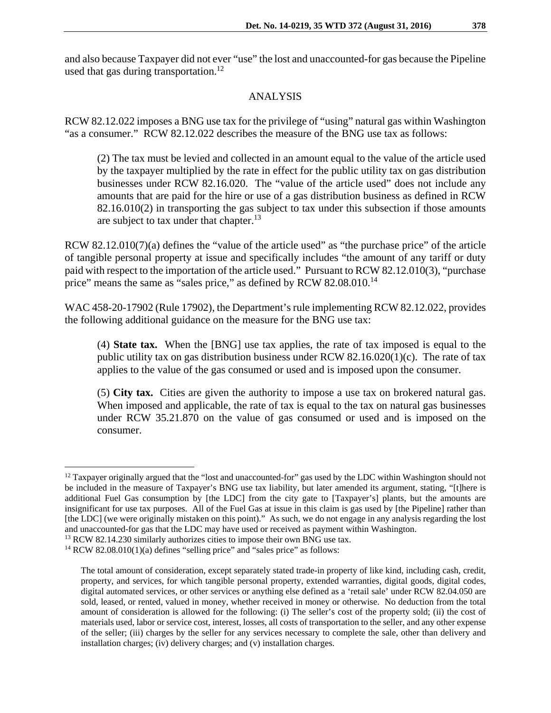and also because Taxpayer did not ever "use" the lost and unaccounted-for gas because the Pipeline used that gas during transportation.<sup>12</sup>

### ANALYSIS

RCW 82.12.022 imposes a BNG use tax for the privilege of "using" natural gas within Washington "as a consumer." RCW 82.12.022 describes the measure of the BNG use tax as follows:

(2) The tax must be levied and collected in an amount equal to the value of the article used by the taxpayer multiplied by the rate in effect for the public utility tax on gas distribution businesses under RCW 82.16.020. The "value of the article used" does not include any amounts that are paid for the hire or use of a gas distribution business as defined in RCW 82.16.010(2) in transporting the gas subject to tax under this subsection if those amounts are subject to tax under that chapter.<sup>13</sup>

RCW 82.12.010(7)(a) defines the "value of the article used" as "the purchase price" of the article of tangible personal property at issue and specifically includes "the amount of any tariff or duty paid with respect to the importation of the article used." Pursuant to RCW 82.12.010(3), "purchase price" means the same as "sales price," as defined by RCW 82.08.010.<sup>14</sup>

WAC 458-20-17902 (Rule 17902), the Department's rule implementing RCW 82.12.022, provides the following additional guidance on the measure for the BNG use tax:

(4) **State tax.** When the [BNG] use tax applies, the rate of tax imposed is equal to the public utility tax on gas distribution business under RCW 82.16.020(1)(c). The rate of tax applies to the value of the gas consumed or used and is imposed upon the consumer.

(5) **City tax.** Cities are given the authority to impose a use tax on brokered natural gas. When imposed and applicable, the rate of tax is equal to the tax on natural gas businesses under RCW 35.21.870 on the value of gas consumed or used and is imposed on the consumer.

 $\overline{a}$ <sup>12</sup> Taxpayer originally argued that the "lost and unaccounted-for" gas used by the LDC within Washington should not be included in the measure of Taxpayer's BNG use tax liability, but later amended its argument, stating, "[t]here is additional Fuel Gas consumption by [the LDC] from the city gate to [Taxpayer's] plants, but the amounts are insignificant for use tax purposes. All of the Fuel Gas at issue in this claim is gas used by [the Pipeline] rather than [the LDC] (we were originally mistaken on this point)." As such, we do not engage in any analysis regarding the lost and unaccounted-for gas that the LDC may have used or received as payment within Washington. 13 RCW 82.14.230 similarly authorizes cities to impose their own BNG use tax.

 $14$  RCW 82.08.010(1)(a) defines "selling price" and "sales price" as follows:

The total amount of consideration, except separately stated trade-in property of like kind, including cash, credit, property, and services, for which tangible personal property, extended warranties, digital goods, digital codes, digital automated services, or other services or anything else defined as a 'retail sale' under RCW 82.04.050 are sold, leased, or rented, valued in money, whether received in money or otherwise. No deduction from the total amount of consideration is allowed for the following: (i) The seller's cost of the property sold; (ii) the cost of materials used, labor or service cost, interest, losses, all costs of transportation to the seller, and any other expense of the seller; (iii) charges by the seller for any services necessary to complete the sale, other than delivery and installation charges; (iv) delivery charges; and (v) installation charges.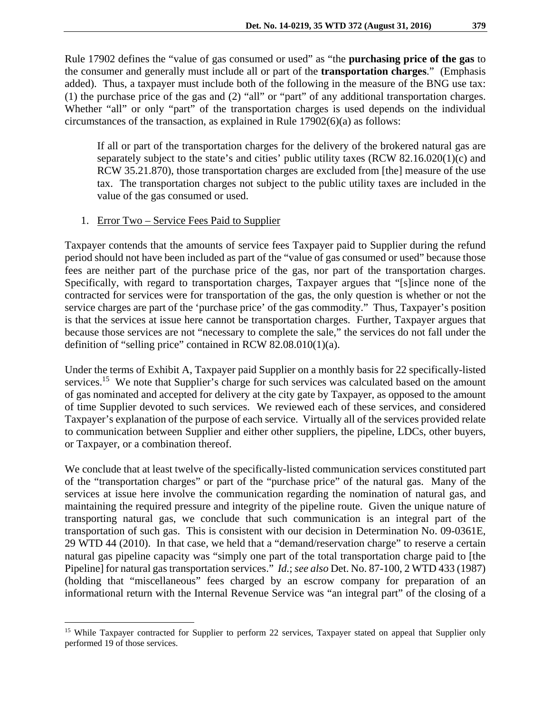Rule 17902 defines the "value of gas consumed or used" as "the **purchasing price of the gas** to the consumer and generally must include all or part of the **transportation charges**." (Emphasis added). Thus, a taxpayer must include both of the following in the measure of the BNG use tax: (1) the purchase price of the gas and (2) "all" or "part" of any additional transportation charges. Whether "all" or only "part" of the transportation charges is used depends on the individual circumstances of the transaction, as explained in Rule 17902(6)(a) as follows:

If all or part of the transportation charges for the delivery of the brokered natural gas are separately subject to the state's and cities' public utility taxes (RCW 82.16.020(1)(c) and RCW 35.21.870), those transportation charges are excluded from [the] measure of the use tax. The transportation charges not subject to the public utility taxes are included in the value of the gas consumed or used.

## 1. Error Two – Service Fees Paid to Supplier

 $\overline{a}$ 

Taxpayer contends that the amounts of service fees Taxpayer paid to Supplier during the refund period should not have been included as part of the "value of gas consumed or used" because those fees are neither part of the purchase price of the gas, nor part of the transportation charges. Specifically, with regard to transportation charges, Taxpayer argues that "[s]ince none of the contracted for services were for transportation of the gas, the only question is whether or not the service charges are part of the 'purchase price' of the gas commodity." Thus, Taxpayer's position is that the services at issue here cannot be transportation charges. Further, Taxpayer argues that because those services are not "necessary to complete the sale," the services do not fall under the definition of "selling price" contained in RCW 82.08.010(1)(a).

Under the terms of Exhibit A, Taxpayer paid Supplier on a monthly basis for 22 specifically-listed services.<sup>15</sup> We note that Supplier's charge for such services was calculated based on the amount of gas nominated and accepted for delivery at the city gate by Taxpayer, as opposed to the amount of time Supplier devoted to such services. We reviewed each of these services, and considered Taxpayer's explanation of the purpose of each service. Virtually all of the services provided relate to communication between Supplier and either other suppliers, the pipeline, LDCs, other buyers, or Taxpayer, or a combination thereof.

We conclude that at least twelve of the specifically-listed communication services constituted part of the "transportation charges" or part of the "purchase price" of the natural gas. Many of the services at issue here involve the communication regarding the nomination of natural gas, and maintaining the required pressure and integrity of the pipeline route. Given the unique nature of transporting natural gas, we conclude that such communication is an integral part of the transportation of such gas. This is consistent with our decision in Determination No. 09-0361E, 29 WTD 44 (2010). In that case, we held that a "demand/reservation charge" to reserve a certain natural gas pipeline capacity was "simply one part of the total transportation charge paid to [the Pipeline] for natural gas transportation services." *Id.*; *see also* Det. No. 87-100, 2 WTD 433 (1987) (holding that "miscellaneous" fees charged by an escrow company for preparation of an informational return with the Internal Revenue Service was "an integral part" of the closing of a

<sup>&</sup>lt;sup>15</sup> While Taxpayer contracted for Supplier to perform 22 services, Taxpayer stated on appeal that Supplier only performed 19 of those services.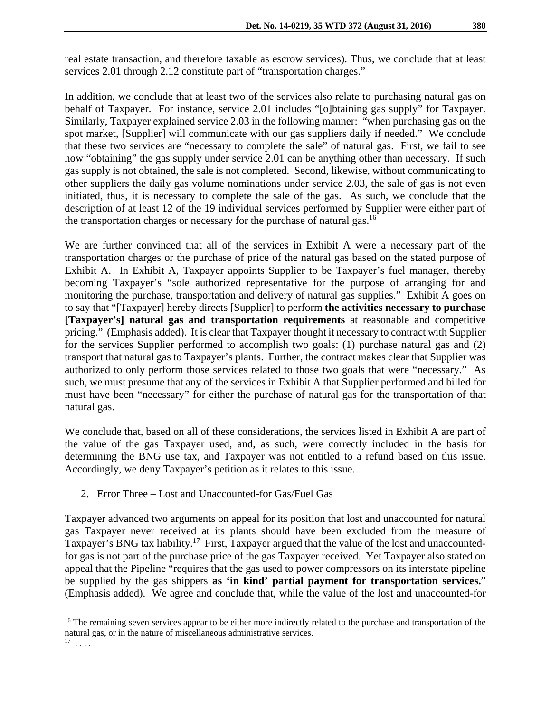real estate transaction, and therefore taxable as escrow services). Thus, we conclude that at least services 2.01 through 2.12 constitute part of "transportation charges."

In addition, we conclude that at least two of the services also relate to purchasing natural gas on behalf of Taxpayer. For instance, service 2.01 includes "[o]btaining gas supply" for Taxpayer. Similarly, Taxpayer explained service 2.03 in the following manner: "when purchasing gas on the spot market, [Supplier] will communicate with our gas suppliers daily if needed." We conclude that these two services are "necessary to complete the sale" of natural gas. First, we fail to see how "obtaining" the gas supply under service 2.01 can be anything other than necessary. If such gas supply is not obtained, the sale is not completed. Second, likewise, without communicating to other suppliers the daily gas volume nominations under service 2.03, the sale of gas is not even initiated, thus, it is necessary to complete the sale of the gas. As such, we conclude that the description of at least 12 of the 19 individual services performed by Supplier were either part of the transportation charges or necessary for the purchase of natural gas.<sup>16</sup>

We are further convinced that all of the services in Exhibit A were a necessary part of the transportation charges or the purchase of price of the natural gas based on the stated purpose of Exhibit A. In Exhibit A, Taxpayer appoints Supplier to be Taxpayer's fuel manager, thereby becoming Taxpayer's "sole authorized representative for the purpose of arranging for and monitoring the purchase, transportation and delivery of natural gas supplies." Exhibit A goes on to say that "[Taxpayer] hereby directs [Supplier] to perform **the activities necessary to purchase [Taxpayer's] natural gas and transportation requirements** at reasonable and competitive pricing." (Emphasis added). It is clear that Taxpayer thought it necessary to contract with Supplier for the services Supplier performed to accomplish two goals: (1) purchase natural gas and (2) transport that natural gas to Taxpayer's plants. Further, the contract makes clear that Supplier was authorized to only perform those services related to those two goals that were "necessary." As such, we must presume that any of the services in Exhibit A that Supplier performed and billed for must have been "necessary" for either the purchase of natural gas for the transportation of that natural gas.

We conclude that, based on all of these considerations, the services listed in Exhibit A are part of the value of the gas Taxpayer used, and, as such, were correctly included in the basis for determining the BNG use tax, and Taxpayer was not entitled to a refund based on this issue. Accordingly, we deny Taxpayer's petition as it relates to this issue.

## 2. Error Three – Lost and Unaccounted-for Gas/Fuel Gas

 $\overline{a}$ 

Taxpayer advanced two arguments on appeal for its position that lost and unaccounted for natural gas Taxpayer never received at its plants should have been excluded from the measure of Taxpayer's BNG tax liability.<sup>17</sup> First, Taxpayer argued that the value of the lost and unaccountedfor gas is not part of the purchase price of the gas Taxpayer received. Yet Taxpayer also stated on appeal that the Pipeline "requires that the gas used to power compressors on its interstate pipeline be supplied by the gas shippers **as 'in kind' partial payment for transportation services.**" (Emphasis added). We agree and conclude that, while the value of the lost and unaccounted-for

<sup>&</sup>lt;sup>16</sup> The remaining seven services appear to be either more indirectly related to the purchase and transportation of the natural gas, or in the nature of miscellaneous administrative services.  $^{17}$   $\ldots$  .